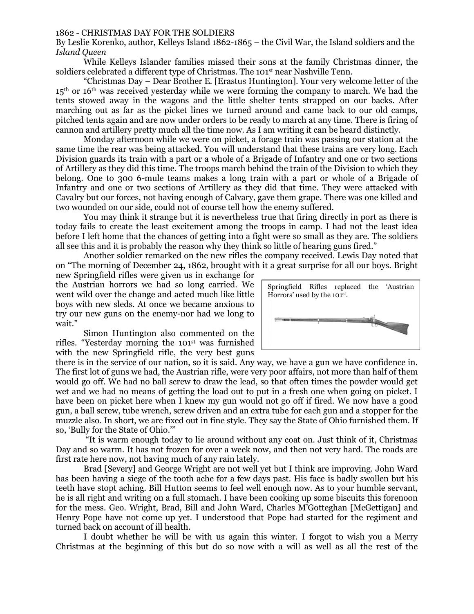## 1862 - CHRISTMAS DAY FOR THE SOLDIERS

By Leslie Korenko, author, Kelleys Island 1862-1865 – the Civil War, the Island soldiers and the *Island Queen*

While Kelleys Islander families missed their sons at the family Christmas dinner, the soldiers celebrated a different type of Christmas. The 101<sup>st</sup> near Nashville Tenn.

"Christmas Day – Dear Brother E. [Erastus Huntington]. Your very welcome letter of the  $15<sup>th</sup>$  or  $16<sup>th</sup>$  was received vesterday while we were forming the company to march. We had the tents stowed away in the wagons and the little shelter tents strapped on our backs. After marching out as far as the picket lines we turned around and came back to our old camps, pitched tents again and are now under orders to be ready to march at any time. There is firing of cannon and artillery pretty much all the time now. As I am writing it can be heard distinctly.

Monday afternoon while we were on picket, a forage train was passing our station at the same time the rear was being attacked. You will understand that these trains are very long. Each Division guards its train with a part or a whole of a Brigade of Infantry and one or two sections of Artillery as they did this time. The troops march behind the train of the Division to which they belong. One to 300 6-mule teams makes a long train with a part or whole of a Brigade of Infantry and one or two sections of Artillery as they did that time. They were attacked with Cavalry but our forces, not having enough of Calvary, gave them grape. There was one killed and two wounded on our side, could not of course tell how the enemy suffered.

You may think it strange but it is nevertheless true that firing directly in port as there is today fails to create the least excitement among the troops in camp. I had not the least idea before I left home that the chances of getting into a fight were so small as they are. The soldiers all see this and it is probably the reason why they think so little of hearing guns fired."

Another soldier remarked on the new rifles the company received. Lewis Day noted that on "The morning of December 24, 1862, brought with it a great surprise for all our boys. Bright

new Springfield rifles were given us in exchange for the Austrian horrors we had so long carried. We went wild over the change and acted much like little boys with new sleds. At once we became anxious to try our new guns on the enemy-nor had we long to wait."

Simon Huntington also commented on the rifles. "Yesterday morning the 101st was furnished with the new Springfield rifle, the very best guns



there is in the service of our nation, so it is said. Any way, we have a gun we have confidence in. The first lot of guns we had, the Austrian rifle, were very poor affairs, not more than half of them would go off. We had no ball screw to draw the lead, so that often times the powder would get wet and we had no means of getting the load out to put in a fresh one when going on picket. I have been on picket here when I knew my gun would not go off if fired. We now have a good gun, a ball screw, tube wrench, screw driven and an extra tube for each gun and a stopper for the muzzle also. In short, we are fixed out in fine style. They say the State of Ohio furnished them. If so, 'Bully for the State of Ohio.'"

"It is warm enough today to lie around without any coat on. Just think of it, Christmas Day and so warm. It has not frozen for over a week now, and then not very hard. The roads are first rate here now, not having much of any rain lately.

Brad [Severy] and George Wright are not well yet but I think are improving. John Ward has been having a siege of the tooth ache for a few days past. His face is badly swollen but his teeth have stopt aching. Bill Hutton seems to feel well enough now. As to your humble servant, he is all right and writing on a full stomach. I have been cooking up some biscuits this forenoon for the mess. Geo. Wright, Brad, Bill and John Ward, Charles M'Gotteghan [McGettigan] and Henry Pope have not come up yet. I understood that Pope had started for the regiment and turned back on account of ill health.

I doubt whether he will be with us again this winter. I forgot to wish you a Merry Christmas at the beginning of this but do so now with a will as well as all the rest of the